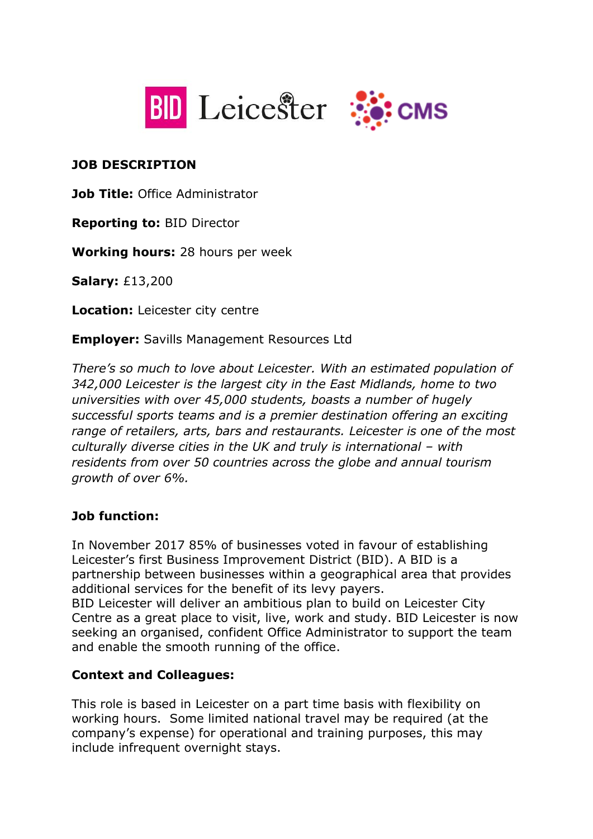



#### **JOB DESCRIPTION**

**Job Title:** Office Administrator

**Reporting to:** BID Director

**Working hours:** 28 hours per week

**Salary:** £13,200

**Location:** Leicester city centre

**Employer:** Savills Management Resources Ltd

*There's so much to love about Leicester. With an estimated population of 342,000 Leicester is the largest city in the East Midlands, home to two universities with over 45,000 students, boasts a number of hugely successful sports teams and is a premier destination offering an exciting range of retailers, arts, bars and restaurants. Leicester is one of the most culturally diverse cities in the UK and truly is international – with residents from over 50 countries across the globe and annual tourism growth of over 6%.*

## **Job function:**

In November 2017 85% of businesses voted in favour of establishing Leicester's first Business Improvement District (BID). A BID is a partnership between businesses within a geographical area that provides additional services for the benefit of its levy payers.

BID Leicester will deliver an ambitious plan to build on Leicester City Centre as a great place to visit, live, work and study. BID Leicester is now seeking an organised, confident Office Administrator to support the team and enable the smooth running of the office.

## **Context and Colleagues:**

This role is based in Leicester on a part time basis with flexibility on working hours. Some limited national travel may be required (at the company's expense) for operational and training purposes, this may include infrequent overnight stays.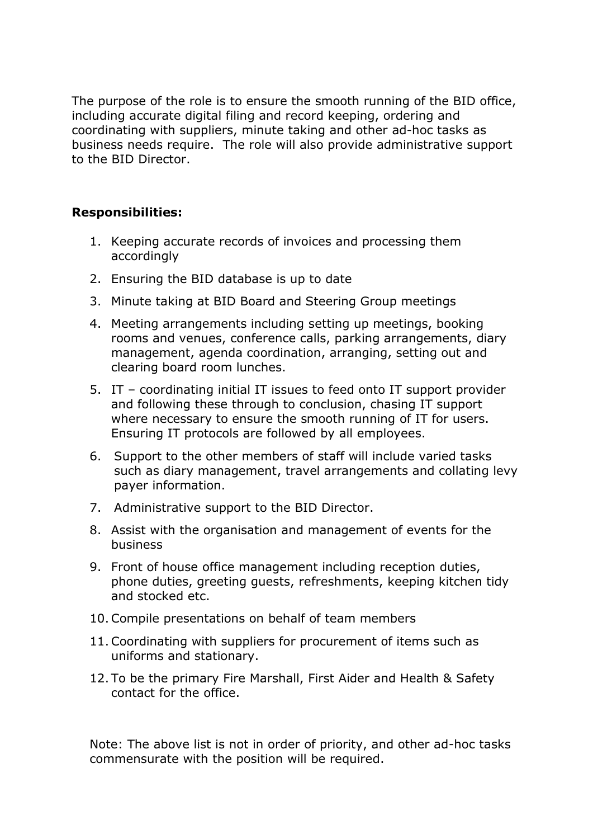The purpose of the role is to ensure the smooth running of the BID office, including accurate digital filing and record keeping, ordering and coordinating with suppliers, minute taking and other ad-hoc tasks as business needs require. The role will also provide administrative support to the BID Director.

#### **Responsibilities:**

- 1. Keeping accurate records of invoices and processing them accordingly
- 2. Ensuring the BID database is up to date
- 3. Minute taking at BID Board and Steering Group meetings
- 4. Meeting arrangements including setting up meetings, booking rooms and venues, conference calls, parking arrangements, diary management, agenda coordination, arranging, setting out and clearing board room lunches.
- 5. IT coordinating initial IT issues to feed onto IT support provider and following these through to conclusion, chasing IT support where necessary to ensure the smooth running of IT for users. Ensuring IT protocols are followed by all employees.
- 6. Support to the other members of staff will include varied tasks such as diary management, travel arrangements and collating levy payer information.
- 7. Administrative support to the BID Director.
- 8. Assist with the organisation and management of events for the business
- 9. Front of house office management including reception duties, phone duties, greeting guests, refreshments, keeping kitchen tidy and stocked etc.
- 10.Compile presentations on behalf of team members
- 11.Coordinating with suppliers for procurement of items such as uniforms and stationary.
- 12. To be the primary Fire Marshall, First Aider and Health & Safety contact for the office.

Note: The above list is not in order of priority, and other ad-hoc tasks commensurate with the position will be required.